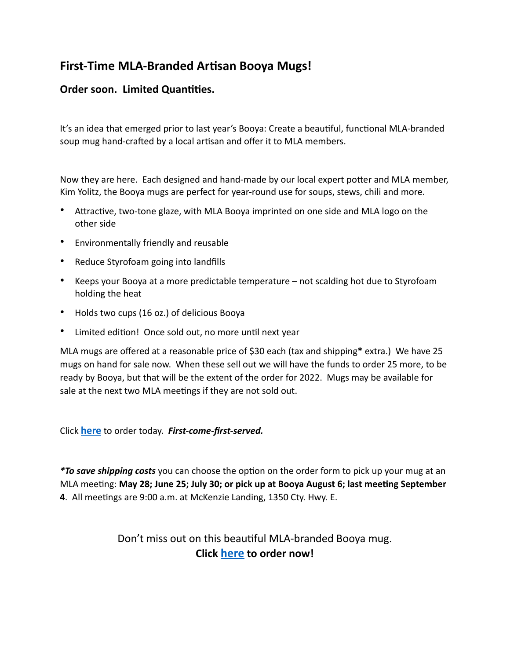## **First-Time MLA-Branded Artisan Booya Mugs!**

## **Order soon. Limited Quantities.**

It's an idea that emerged prior to last year's Booya: Create a beautiful, functional MLA-branded soup mug hand-crafted by a local artisan and offer it to MLA members.

Now they are here. Each designed and hand-made by our local expert potter and MLA member, Kim Yolitz, the Booya mugs are perfect for year-round use for soups, stews, chili and more.

- Attractive, two-tone glaze, with MLA Booya imprinted on one side and MLA logo on the other side
- Environmentally friendly and reusable
- Reduce Styrofoam going into landfills
- Keeps your Booya at a more predictable temperature not scalding hot due to Styrofoam holding the heat
- Holds two cups (16 oz.) of delicious Booya
- Limited edition! Once sold out, no more until next year

MLA mugs are offered at a reasonable price of \$30 each (tax and shipping**\*** extra.) We have 25 mugs on hand for sale now. When these sell out we will have the funds to order 25 more, to be ready by Booya, but that will be the extent of the order for 2022. Mugs may be available for sale at the next two MLA meetings if they are not sold out.

Click **[here](https://mckenzielakes.com/shop/)** to order today. *First-come-first-served.*

*\*To save shipping costs* you can choose the option on the order form to pick up your mug at an MLA meeting: **May 28; June 25; July 30; or pick up at Booya August 6; last meeting September 4**. All meetings are 9:00 a.m. at McKenzie Landing, 1350 Cty. Hwy. E.

> Don't miss out on this beautiful MLA-branded Booya mug. **Click [here](https://mckenzielakes.com/shop/) to order now!**